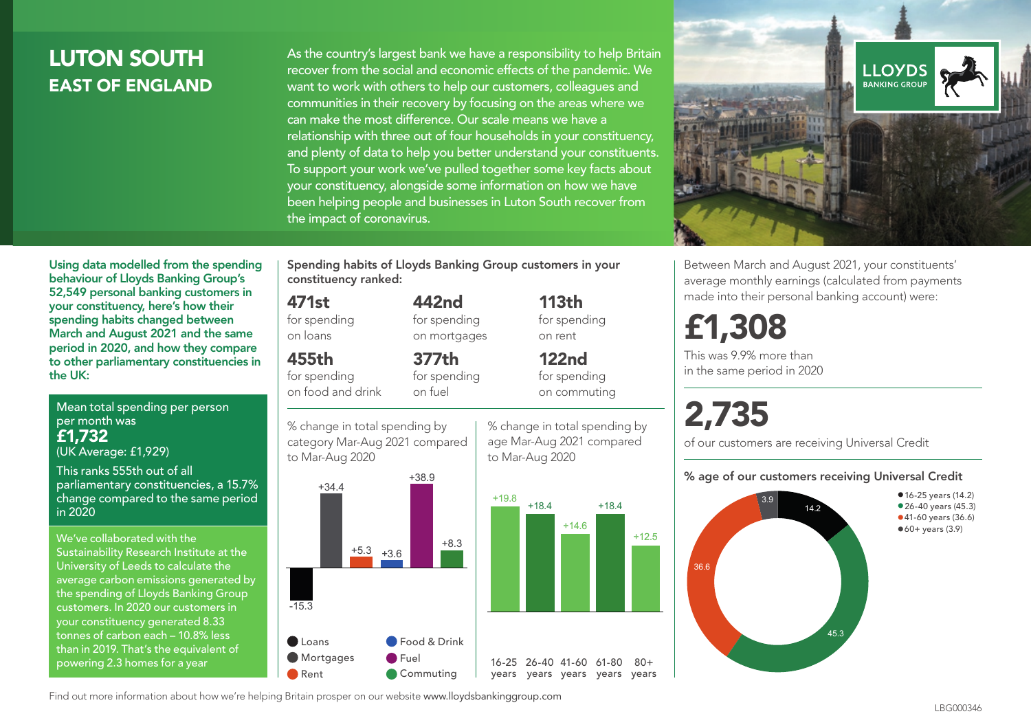# LUTON SOUTH EAST OF ENGLAND

As the country's largest bank we have a responsibility to help Britain recover from the social and economic effects of the pandemic. We want to work with others to help our customers, colleagues and communities in their recovery by focusing on the areas where we can make the most difference. Our scale means we have a relationship with three out of four households in your constituency, and plenty of data to help you better understand your constituents. To support your work we've pulled together some key facts about your constituency, alongside some information on how we have been helping people and businesses in Luton South recover from the impact of coronavirus.



Between March and August 2021, your constituents' average monthly earnings (calculated from payments made into their personal banking account) were:

# £1,308

This was 9.9% more than in the same period in 2020

# 2,735

of our customers are receiving Universal Credit

#### % age of our customers receiving Universal Credit



Using data modelled from the spending behaviour of Lloyds Banking Group's 52,549 personal banking customers in your constituency, here's how their spending habits changed between March and August 2021 and the same period in 2020, and how they compare to other parliamentary constituencies in the UK:

Mean total spending per person per month was £1,732 (UK Average: £1,929)

This ranks 555th out of all parliamentary constituencies, a 15.7% change compared to the same period in 2020

We've collaborated with the Sustainability Research Institute at the University of Leeds to calculate the average carbon emissions generated by the spending of Lloyds Banking Group customers. In 2020 our customers in your constituency generated 8.33 tonnes of carbon each – 10.8% less than in 2019. That's the equivalent of powering 2.3 homes for a year

Spending habits of Lloyds Banking Group customers in your constituency ranked:

> 442nd for spending on mortgages

377th for spending

#### 471st

for spending on loans

#### 455th

for spending on food and drink

% change in total spending by on fuel





% change in total spending by age Mar-Aug 2021 compared

113th for spending

to Mar-Aug 2020

+14.6

on rent 122nd for spending on commuting

+18.4

+12.5

 $80 +$ 

Find out more information about how we're helping Britain prosper on our website www.lloydsbankinggroup.com